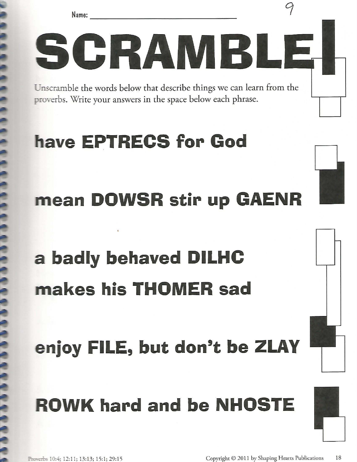



## **'have EPTRECS for God**

#### **mean DOWSR stir up GAENR**

# **a badly behaved DILHC makes his THOMER sad**

# enjoy FILE, but don't be ZLAY

## **ROWK hard and be NHOSTE**